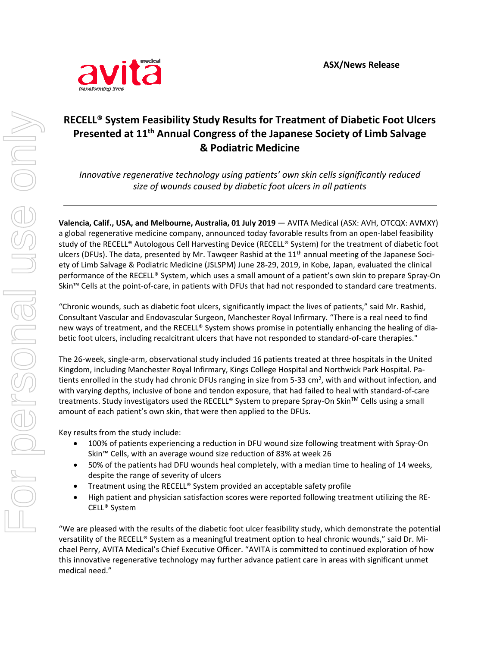

## **RECELL® System Feasibility Study Results for Treatment of Diabetic Foot Ulcers Presented at 11th Annual Congress of the Japanese Society of Limb Salvage & Podiatric Medicine**

*Innovative regenerative technology using patients' own skin cells significantly reduced size of wounds caused by diabetic foot ulcers in all patients*

**Valencia, Calif., USA, and Melbourne, Australia, 01 July 2019** — AVITA Medical (ASX: AVH, OTCQX: AVMXY) a global regenerative medicine company, announced today favorable results from an open-label feasibility study of the RECELL® Autologous Cell Harvesting Device (RECELL® System) for the treatment of diabetic foot ulcers (DFUs). The data, presented by Mr. Tawqeer Rashid at the 11<sup>th</sup> annual meeting of the Japanese Society of Limb Salvage & Podiatric Medicine (JSLSPM) June 28-29, 2019, in Kobe, Japan, evaluated the clinical performance of the RECELL® System, which uses a small amount of a patient's own skin to prepare Spray-On Skin™ Cells at the point-of-care, in patients with DFUs that had not responded to standard care treatments.

"Chronic wounds, such as diabetic foot ulcers, significantly impact the lives of patients," said Mr. Rashid, Consultant Vascular and Endovascular Surgeon, Manchester Royal Infirmary. "There is a real need to find new ways of treatment, and the RECELL® System shows promise in potentially enhancing the healing of diabetic foot ulcers, including recalcitrant ulcers that have not responded to standard-of-care therapies."

The 26-week, single-arm, observational study included 16 patients treated at three hospitals in the United Kingdom, including Manchester Royal Infirmary, Kings College Hospital and Northwick Park Hospital. Patients enrolled in the study had chronic DFUs ranging in size from 5-33 cm<sup>2</sup>, with and without infection, and with varying depths, inclusive of bone and tendon exposure, that had failed to heal with standard-of-care treatments. Study investigators used the RECELL® System to prepare Spray-On Skin™ Cells using a small amount of each patient's own skin, that were then applied to the DFUs.

Key results from the study include:

- 100% of patients experiencing a reduction in DFU wound size following treatment with Spray-On Skin™ Cells, with an average wound size reduction of 83% at week 26
- 50% of the patients had DFU wounds heal completely, with a median time to healing of 14 weeks, despite the range of severity of ulcers
- Treatment using the RECELL® System provided an acceptable safety profile
- High patient and physician satisfaction scores were reported following treatment utilizing the RE-CELL® System

"We are pleased with the results of the diabetic foot ulcer feasibility study, which demonstrate the potential versatility of the RECELL® System as a meaningful treatment option to heal chronic wounds," said Dr. Michael Perry, AVITA Medical's Chief Executive Officer. "AVITA is committed to continued exploration of how this innovative regenerative technology may further advance patient care in areas with significant unmet medical need."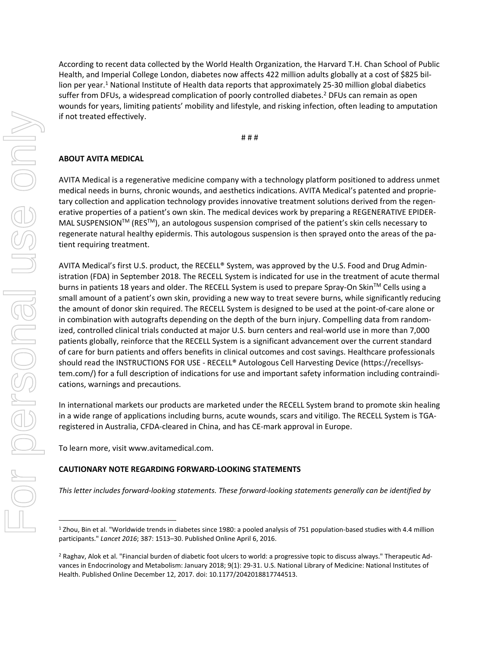According to recent data collected by the World Health Organization, the Harvard T.H. Chan School of Public Health, and Imperial College London, diabetes now affects 422 million adults globally at a cost of \$825 billion per year.<sup>1</sup> National Institute of Health data reports that approximately 25-30 million global diabetics suffer from DFUs, a widespread complication of poorly controlled diabetes.<sup>2</sup> DFUs can remain as open wounds for years, limiting patients' mobility and lifestyle, and risking infection, often leading to amputation if not treated effectively.

# # #

## **ABOUT AVITA MEDICAL**

AVITA Medical is a regenerative medicine company with a technology platform positioned to address unmet medical needs in burns, chronic wounds, and aesthetics indications. AVITA Medical's patented and proprietary collection and application technology provides innovative treatment solutions derived from the regenerative properties of a patient's own skin. The medical devices work by preparing a REGENERATIVE EPIDER-MAL SUSPENSION<sup>TM</sup> (RES<sup>TM</sup>), an autologous suspension comprised of the patient's skin cells necessary to regenerate natural healthy epidermis. This autologous suspension is then sprayed onto the areas of the patient requiring treatment.

AVITA Medical's first U.S. product, the RECELL® System, was approved by the U.S. Food and Drug Administration (FDA) in September 2018. The RECELL System is indicated for use in the treatment of acute thermal burns in patients 18 years and older. The RECELL System is used to prepare Spray-On Skin™ Cells using a small amount of a patient's own skin, providing a new way to treat severe burns, while significantly reducing the amount of donor skin required. The RECELL System is designed to be used at the point-of-care alone or in combination with autografts depending on the depth of the burn injury. Compelling data from randomized, controlled clinical trials conducted at major U.S. burn centers and real-world use in more than 7,000 patients globally, reinforce that the RECELL System is a significant advancement over the current standard of care for burn patients and offers benefits in clinical outcomes and cost savings. Healthcare professionals should read the INSTRUCTIONS FOR USE - RECELL® Autologous Cell Harvesting Device (https://recellsystem.com/) for a full description of indications for use and important safety information including contraindications, warnings and precautions.

In international markets our products are marketed under the RECELL System brand to promote skin healing in a wide range of applications including burns, acute wounds, scars and vitiligo. The RECELL System is TGAregistered in Australia, CFDA-cleared in China, and has CE-mark approval in Europe.

To learn more, visit www.avitamedical.com.

## **CAUTIONARY NOTE REGARDING FORWARD-LOOKING STATEMENTS**

*This letter includes forward-looking statements. These forward-looking statements generally can be identified by* 

 $\overline{a}$ 

<sup>1</sup> Zhou, Bin et al. "Worldwide trends in diabetes since 1980: a pooled analysis of 751 population-based studies with 4.4 million participants." *Lancet 2016*; 387: 1513–30. Published Online April 6, 2016.

<sup>&</sup>lt;sup>2</sup> Raghav, Alok et al. "Financial burden of diabetic foot ulcers to world: a progressive topic to discuss always." Therapeutic Advances in Endocrinology and Metabolism: January 2018; 9(1): 29-31. U.S. National Library of Medicine: National Institutes of Health. Published Online December 12, 2017. doi: 10.1177/2042018817744513.